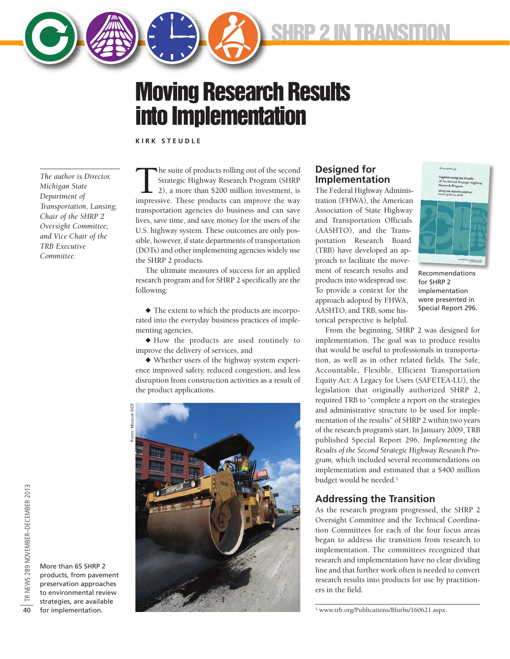

**SHRP 2 IN TRANSITION**

# **Moving Research Results into Implementation**

**K I R K S T E U D L E**

*The author is Director, Michigan State Department of Transportation, Lansing; Chair of the SHRP 2 Oversight Committee; and Vice Chair of the TRB Executive Committee.*

The suite of products rolling out of the second<br>Strategic Highway Research Program (SHRP<br>2), a more than \$200 million investment, is<br>impressive. These products can improve the wav Strategic Highway Research Program (SHRP 2), a more than \$200 million investment, is impressive. These products can improve the way transportation agencies do business and can save lives, save time, and save money for the users of the U.S. highway system. These outcomes are only possible, however, if state departments of transportation (DOTs) and other implementing agencies widely use the SHRP 2 products.

The ultimate measures of success for an applied research program and for SHRP 2 specifically are the following:

 $\blacklozenge$  The extent to which the products are incorporated into the everyday business practices of implementing agencies,

 $\blacklozenge$  How the products are used routinely to improve the delivery of services, and

 $\blacklozenge$  Whether users of the highway system experience improved safety, reduced congestion, and less disruption from construction activities as a result of the product applications.



## **Designed for Implementation**

The Federal Highway Administration (FHWA), the American Association of State Highway and Transportation Officials (AASHTO), and the Transportation Research Board (TRB) have developed an approach to facilitate the movement of research results and products into widespread use. To provide a context for the approach adopted by FHWA, AASHTO, and TRB, some historical perspective is helpful.



Recommendations for SHRP 2 implementation were presented in Special Report 296.

From the beginning, SHRP 2 was designed for implementation. The goal was to produce results that would be useful to professionals in transportation, as well as in other related fields. The Safe, Accountable, Flexible, Efficient Transportation Equity Act: A Legacy for Users (SAFETEA-LU), the legislation that originally authorized SHRP 2, required TRB to "complete a report on the strategies and administrative structure to be used for implementation of the results" of SHRP 2 within two years of the research program's start. In January 2009, TRB published Special Report 296, *Implementing the Results of the Second Strategic Highway Research Program,* which included several recommendations on implementation and estimated that a \$400 million budget would be needed.<sup>1</sup>

# **Addressing the Transition**

As the research program progressed, the SHRP 2 Oversight Committee and the Technical Coordination Committees for each of the four focus areas began to address the transition from research to implementation. The committees recognized that research and implementation have no clear dividing line and that further work often is needed to convert research results into products for use by practitioners in the field.

<sup>1</sup> [www.trb.org/Publications/Blurbs/160621.aspx.](http://www.trb.org/Publications/Blurbs/160621.aspx)

More than 65 SHRP 2 products, from pavement preservation approaches to environmental review strategies, are available for implementation.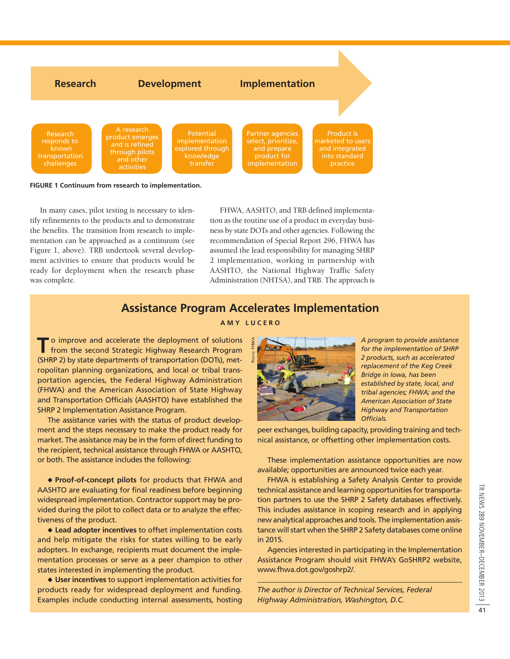

#### **FIGURE 1 Continuum from research to implementation.**

In many cases, pilot testing is necessary to identify refinements to the products and to demonstrate the benefits. The transition from research to implementation can be approached as a continuum (see Figure 1, above). TRB undertook several development activities to ensure that products would be ready for deployment when the research phase was complete.

FHWA, AASHTO, and TRB defined implementation as the routine use of a product in everyday business by state DOTs and other agencies. Following the recommendation of Special Report 296, FHWA has assumed the lead responsibility for managing SHRP 2 implementation, working in partnership with AASHTO, the National Highway Traffic Safety Administration (NHTSA), and TRB. The approach is

## **Assistance Program Accelerates Implementation**

#### **A M Y L U C E R O**

PHOTO: FHWA

**T** o improve and accelerate the deployment of solutions from the second Strategic Highway Research Program (SHRP 2) by state departments of transportation (DOTs), metropolitan planning organizations, and local or tribal transportation agencies, the Federal Highway Administration (FHWA) and the American Association of State Highway and Transportation Officials (AASHTO) have established the SHRP 2 Implementation Assistance Program.

The assistance varies with the status of product development and the steps necessary to make the product ready for market. The assistance may be in the form of direct funding to the recipient, technical assistance through FHWA or AASHTO, or both. The assistance includes the following:

u **Proof-of-concept pilots** for products that FHWA and AASHTO are evaluating for final readiness before beginning widespread implementation. Contractor support may be provided during the pilot to collect data or to analyze the effectiveness of the product.

 $\triangle$  Lead adopter incentives to offset implementation costs and help mitigate the risks for states willing to be early adopters. In exchange, recipients must document the implementation processes or serve as a peer champion to other states interested in implementing the product.

◆ User incentives to support implementation activities for products ready for widespread deployment and funding. Examples include conducting internal assessments, hosting



*A program to provide assistance for the implementation of SHRP 2 products, such as accelerated replacement of the Keg Creek Bridge in Iowa, has been established by state, local, and tribal agencies; FHWA; and the American Association of State Highway and Transportation Officials.* 

peer exchanges, building capacity, providing training and technical assistance, or offsetting other implementation costs.

These implementation assistance opportunities are now available; opportunities are announced twice each year.

FHWA is establishing a Safety Analysis Center to provide technical assistance and learning opportunities for transportation partners to use the SHRP 2 Safety databases effectively. This includes assistance in scoping research and in applying new analytical approaches and tools. The implementation assistance will start when the SHRP 2 Safety databases come online in 2015.

Agencies interested in participating in the Implementation Assistance Program should visit FHWA's GoSHRP2 website, [www.fhwa.dot.gov/goshrp2/.](http://www.fhwa.dot.gov/goshrp2/) 

*The author is Director of Technical Services, Federal Highway Administration, Washington, D.C.*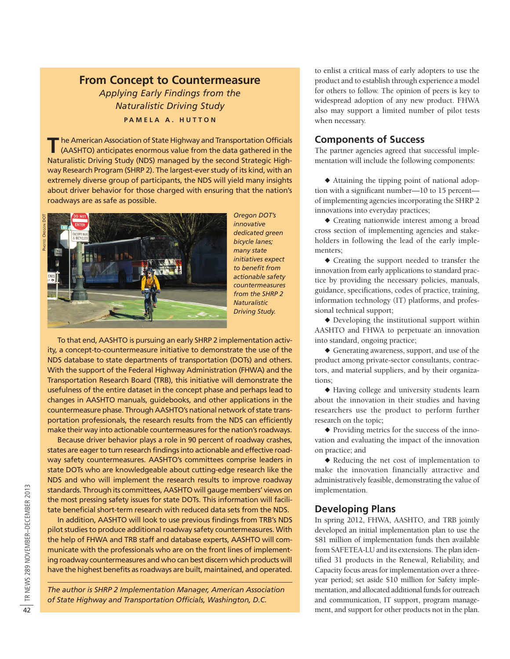## **From Concept to Countermeasure**

*Applying Early Findings from the Naturalistic Driving Study* **PAMELA A. HUTTON** 

The American Association of State Highway and Transportation Officials<br>(AASHTO) anticipates enormous value from the data gathered in the Naturalistic Driving Study (NDS) managed by the second Strategic Highway Research Program (SHRP 2). The largest-ever study of its kind, with an extremely diverse group of participants, the NDS will yield many insights about driver behavior for those charged with ensuring that the nation's roadways are as safe as possible.



*Oregon DOT's innovative dedicated green bicycle lanes; many state initiatives expect to benefit from actionable safety countermeasures from the SHRP 2 Naturalistic Driving Study.* 

To that end, AASHTO is pursuing an early SHRP 2 implementation activity, a concept-to-countermeasure initiative to demonstrate the use of the NDS database to state departments of transportation (DOTs) and others. With the support of the Federal Highway Administration (FHWA) and the Transportation Research Board (TRB), this initiative will demonstrate the usefulness of the entire dataset in the concept phase and perhaps lead to changes in AASHTO manuals, guidebooks, and other applications in the countermeasure phase. Through AASHTO's national network of state transportation professionals, the research results from the NDS can efficiently make their way into actionable countermeasures for the nation's roadways.

Because driver behavior plays a role in 90 percent of roadway crashes, states are eager to turn research findings into actionable and effective roadway safety countermeasures. AASHTO's committees comprise leaders in state DOTs who are knowledgeable about cutting-edge research like the NDS and who will implement the research results to improve roadway standards. Through its committees, AASHTO will gauge members' views on the most pressing safety issues for state DOTs. This information will facilitate beneficial short-term research with reduced data sets from the NDS.

In addition, AASHTO will look to use previous findings from TRB's NDS pilot studies to produce additional roadway safety countermeasures. With the help of FHWA and TRB staff and database experts, AASHTO will communicate with the professionals who are on the front lines of implementing roadway countermeasures and who can best discern which products will have the highest benefits as roadways are built, maintained, and operated.

*The author is SHRP 2 Implementation Manager, American Association of State Highway and Transportation Officials, Washington, D.C.*

to enlist a critical mass of early adopters to use the product and to establish through experience a model for others to follow. The opinion of peers is key to widespread adoption of any new product. FHWA also may support a limited number of pilot tests when necessary.

#### **Components of Success**

The partner agencies agreed that successful implementation will include the following components:

 $\blacklozenge$  Attaining the tipping point of national adoption with a significant number—10 to 15 percent of implementing agencies incorporating the SHRP 2 innovations into everyday practices;

u Creating nationwide interest among a broad cross section of implementing agencies and stakeholders in following the lead of the early implementers;

 $\blacklozenge$  Creating the support needed to transfer the innovation from early applications to standard practice by providing the necessary policies, manuals, guidance, specifications, codes of practice, training, information technology (IT) platforms, and professional technical support;

 $\blacklozenge$  Developing the institutional support within AASHTO and FHWA to perpetuate an innovation into standard, ongoing practice;

 $\blacklozenge$  Generating awareness, support, and use of the product among private-sector consultants, contractors, and material suppliers, and by their organizations;

u Having college and university students learn about the innovation in their studies and having researchers use the product to perform further research on the topic;

 $\blacklozenge$  Providing metrics for the success of the innovation and evaluating the impact of the innovation on practice; and

u Reducing the net cost of implementation to make the innovation financially attractive and administratively feasible, demonstrating the value of implementation.

## **Developing Plans**

In spring 2012, FHWA, AASHTO, and TRB jointly developed an initial implementation plan to use the \$81 million of implementation funds then available from SAFETEA-LU and its extensions. The plan identified 31 products in the Renewal, Reliability, and Capacity focus areas for implementation over a threeyear period; set aside \$10 million for Safety implementation, and allocated additional funds for outreach and communication, IT support, program management, and support for other products not in the plan.